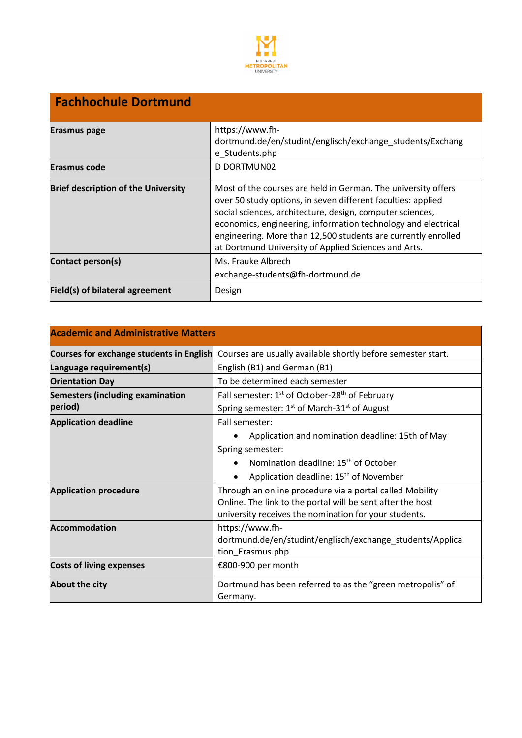

| <b>Fachhochule Dortmund</b>                |                                                                                                                                                                                                                                                                                                                                                                                      |  |  |  |
|--------------------------------------------|--------------------------------------------------------------------------------------------------------------------------------------------------------------------------------------------------------------------------------------------------------------------------------------------------------------------------------------------------------------------------------------|--|--|--|
| <b>Erasmus page</b>                        | https://www.fh-<br>dortmund.de/en/studint/englisch/exchange students/Exchang<br>e_Students.php                                                                                                                                                                                                                                                                                       |  |  |  |
| <b>Erasmus code</b>                        | D DORTMUN02                                                                                                                                                                                                                                                                                                                                                                          |  |  |  |
| <b>Brief description of the University</b> | Most of the courses are held in German. The university offers<br>over 50 study options, in seven different faculties: applied<br>social sciences, architecture, design, computer sciences,<br>economics, engineering, information technology and electrical<br>engineering. More than 12,500 students are currently enrolled<br>at Dortmund University of Applied Sciences and Arts. |  |  |  |
| Contact person(s)                          | Ms. Frauke Albrech<br>exchange-students@fh-dortmund.de                                                                                                                                                                                                                                                                                                                               |  |  |  |
| Field(s) of bilateral agreement            | Design                                                                                                                                                                                                                                                                                                                                                                               |  |  |  |

| <b>Academic and Administrative Matters</b> |                                                                                                                     |  |  |  |
|--------------------------------------------|---------------------------------------------------------------------------------------------------------------------|--|--|--|
| Courses for exchange students in English   | Courses are usually available shortly before semester start.                                                        |  |  |  |
| Language requirement(s)                    | English (B1) and German (B1)                                                                                        |  |  |  |
| <b>Orientation Day</b>                     | To be determined each semester                                                                                      |  |  |  |
| <b>Semesters (including examination</b>    | Fall semester: 1 <sup>st</sup> of October-28 <sup>th</sup> of February                                              |  |  |  |
| period)                                    | Spring semester: 1 <sup>st</sup> of March-31 <sup>st</sup> of August                                                |  |  |  |
| <b>Application deadline</b>                | Fall semester:                                                                                                      |  |  |  |
|                                            | Application and nomination deadline: 15th of May                                                                    |  |  |  |
|                                            | Spring semester:                                                                                                    |  |  |  |
|                                            | Nomination deadline: 15 <sup>th</sup> of October                                                                    |  |  |  |
|                                            | Application deadline: 15 <sup>th</sup> of November                                                                  |  |  |  |
| <b>Application procedure</b>               | Through an online procedure via a portal called Mobility                                                            |  |  |  |
|                                            | Online. The link to the portal will be sent after the host<br>university receives the nomination for your students. |  |  |  |
| <b>Accommodation</b>                       | https://www.fh-                                                                                                     |  |  |  |
|                                            | dortmund.de/en/studint/englisch/exchange_students/Applica                                                           |  |  |  |
|                                            | tion_Erasmus.php                                                                                                    |  |  |  |
| <b>Costs of living expenses</b>            | €800-900 per month                                                                                                  |  |  |  |
| About the city                             | Dortmund has been referred to as the "green metropolis" of<br>Germany.                                              |  |  |  |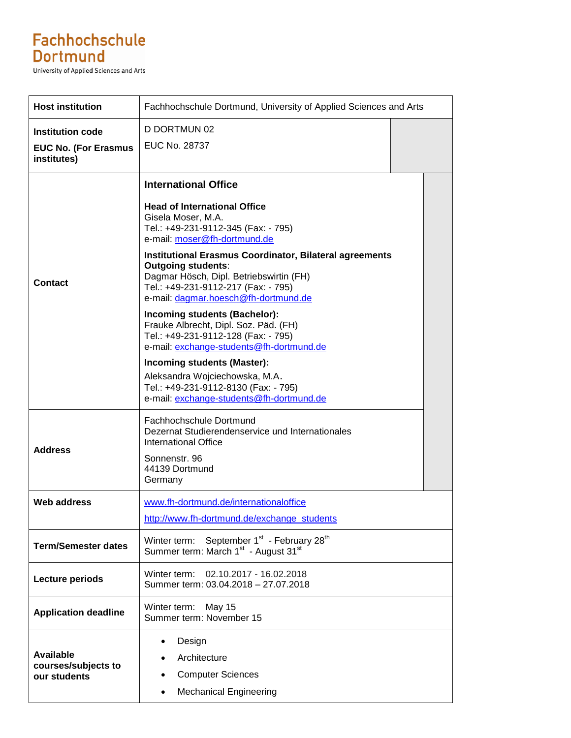## Fachhochschule **Dortmund**

**University of Applied Sciences and Arts** 

| <b>Host institution</b>                                 | Fachhochschule Dortmund, University of Applied Sciences and Arts                                                                                                                                                      |  |
|---------------------------------------------------------|-----------------------------------------------------------------------------------------------------------------------------------------------------------------------------------------------------------------------|--|
| <b>Institution code</b>                                 | D DORTMUN 02                                                                                                                                                                                                          |  |
| <b>EUC No. (For Erasmus</b><br>institutes)              | EUC No. 28737                                                                                                                                                                                                         |  |
|                                                         | <b>International Office</b>                                                                                                                                                                                           |  |
| <b>Contact</b>                                          | <b>Head of International Office</b><br>Gisela Moser, M.A.<br>Tel.: +49-231-9112-345 (Fax: - 795)<br>e-mail: moser@fh-dortmund.de                                                                                      |  |
|                                                         | <b>Institutional Erasmus Coordinator, Bilateral agreements</b><br><b>Outgoing students:</b><br>Dagmar Hösch, Dipl. Betriebswirtin (FH)<br>Tel.: +49-231-9112-217 (Fax: - 795)<br>e-mail: dagmar.hoesch@fh-dortmund.de |  |
|                                                         | Incoming students (Bachelor):<br>Frauke Albrecht, Dipl. Soz. Päd. (FH)<br>Tel.: +49-231-9112-128 (Fax: - 795)<br>e-mail: exchange-students@fh-dortmund.de                                                             |  |
|                                                         | Incoming students (Master):<br>Aleksandra Wojciechowska, M.A.<br>Tel.: +49-231-9112-8130 (Fax: - 795)<br>e-mail: exchange-students@fh-dortmund.de                                                                     |  |
| <b>Address</b>                                          | Fachhochschule Dortmund<br>Dezernat Studierendenservice und Internationales<br><b>International Office</b>                                                                                                            |  |
|                                                         | Sonnenstr. 96<br>44139 Dortmund<br>Germany                                                                                                                                                                            |  |
| <b>Web address</b>                                      | www.fh-dortmund.de/internationaloffice<br>http://www.fh-dortmund.de/exchange_students                                                                                                                                 |  |
| <b>Term/Semester dates</b>                              | September 1st - February 28 <sup>th</sup><br>Winter term:<br>Summer term: March 1 <sup>st</sup> - August 31 <sup>st</sup>                                                                                             |  |
| <b>Lecture periods</b>                                  | 02.10.2017 - 16.02.2018<br>Winter term:<br>Summer term: 03.04.2018 - 27.07.2018                                                                                                                                       |  |
| <b>Application deadline</b>                             | Winter term:<br>May 15<br>Summer term: November 15                                                                                                                                                                    |  |
| <b>Available</b><br>courses/subjects to<br>our students | Design<br>٠<br>Architecture<br><b>Computer Sciences</b><br>٠<br><b>Mechanical Engineering</b><br>$\bullet$                                                                                                            |  |